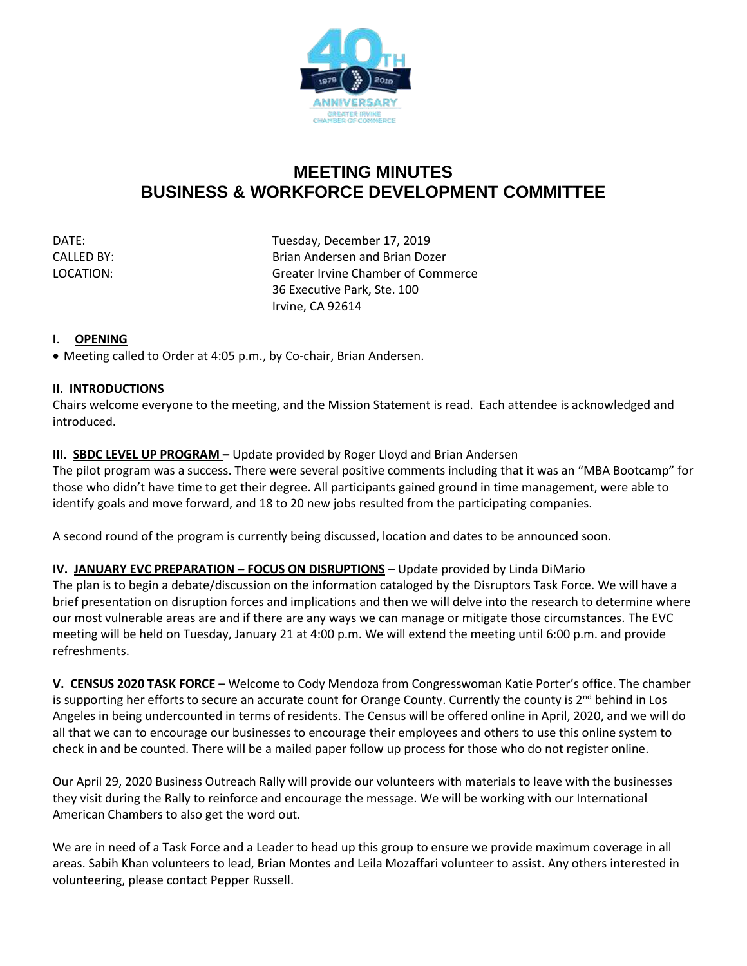

# **MEETING MINUTES BUSINESS & WORKFORCE DEVELOPMENT COMMITTEE**

DATE: DATE: DATE: Tuesday, December 17, 2019 CALLED BY: Brian Andersen and Brian Dozer LOCATION: Greater Irvine Chamber of Commerce 36 Executive Park, Ste. 100 Irvine, CA 92614

# **I**. **OPENING**

• Meeting called to Order at 4:05 p.m., by Co-chair, Brian Andersen.

### **II. INTRODUCTIONS**

Chairs welcome everyone to the meeting, and the Mission Statement is read. Each attendee is acknowledged and introduced.

# **III. SBDC LEVEL UP PROGRAM –** Update provided by Roger Lloyd and Brian Andersen

The pilot program was a success. There were several positive comments including that it was an "MBA Bootcamp" for those who didn't have time to get their degree. All participants gained ground in time management, were able to identify goals and move forward, and 18 to 20 new jobs resulted from the participating companies.

A second round of the program is currently being discussed, location and dates to be announced soon.

### **IV. JANUARY EVC PREPARATION - FOCUS ON DISRUPTIONS** - Update provided by Linda DiMario

The plan is to begin a debate/discussion on the information cataloged by the Disruptors Task Force. We will have a brief presentation on disruption forces and implications and then we will delve into the research to determine where our most vulnerable areas are and if there are any ways we can manage or mitigate those circumstances. The EVC meeting will be held on Tuesday, January 21 at 4:00 p.m. We will extend the meeting until 6:00 p.m. and provide refreshments.

**V. CENSUS 2020 TASK FORCE** – Welcome to Cody Mendoza from Congresswoman Katie Porter's office. The chamber is supporting her efforts to secure an accurate count for Orange County. Currently the county is  $2^{nd}$  behind in Los Angeles in being undercounted in terms of residents. The Census will be offered online in April, 2020, and we will do all that we can to encourage our businesses to encourage their employees and others to use this online system to check in and be counted. There will be a mailed paper follow up process for those who do not register online.

Our April 29, 2020 Business Outreach Rally will provide our volunteers with materials to leave with the businesses they visit during the Rally to reinforce and encourage the message. We will be working with our International American Chambers to also get the word out.

We are in need of a Task Force and a Leader to head up this group to ensure we provide maximum coverage in all areas. Sabih Khan volunteers to lead, Brian Montes and Leila Mozaffari volunteer to assist. Any others interested in volunteering, please contact Pepper Russell.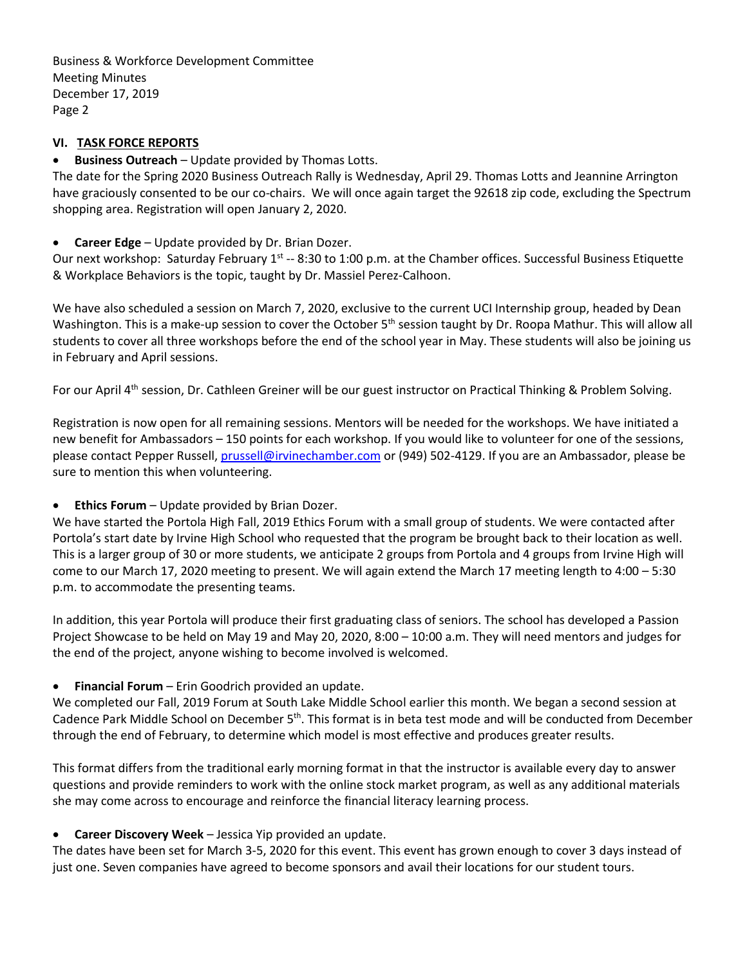Business & Workforce Development Committee Meeting Minutes December 17, 2019 Page 2

# **VI. TASK FORCE REPORTS**

# • **Business Outreach** – Update provided by Thomas Lotts.

The date for the Spring 2020 Business Outreach Rally is Wednesday, April 29. Thomas Lotts and Jeannine Arrington have graciously consented to be our co-chairs. We will once again target the 92618 zip code, excluding the Spectrum shopping area. Registration will open January 2, 2020.

• **Career Edge** – Update provided by Dr. Brian Dozer.

Our next workshop: Saturday February 1<sup>st</sup> -- 8:30 to 1:00 p.m. at the Chamber offices. Successful Business Etiquette & Workplace Behaviors is the topic, taught by Dr. Massiel Perez-Calhoon.

We have also scheduled a session on March 7, 2020, exclusive to the current UCI Internship group, headed by Dean Washington. This is a make-up session to cover the October 5<sup>th</sup> session taught by Dr. Roopa Mathur. This will allow all students to cover all three workshops before the end of the school year in May. These students will also be joining us in February and April sessions.

For our April 4<sup>th</sup> session, Dr. Cathleen Greiner will be our guest instructor on Practical Thinking & Problem Solving.

Registration is now open for all remaining sessions. Mentors will be needed for the workshops. We have initiated a new benefit for Ambassadors – 150 points for each workshop. If you would like to volunteer for one of the sessions, please contact Pepper Russell, [prussell@irvinechamber.com](mailto:prussell@irvinechamber.com) or (949) 502-4129. If you are an Ambassador, please be sure to mention this when volunteering.

• **Ethics Forum** – Update provided by Brian Dozer.

We have started the Portola High Fall, 2019 Ethics Forum with a small group of students. We were contacted after Portola's start date by Irvine High School who requested that the program be brought back to their location as well. This is a larger group of 30 or more students, we anticipate 2 groups from Portola and 4 groups from Irvine High will come to our March 17, 2020 meeting to present. We will again extend the March 17 meeting length to 4:00 – 5:30 p.m. to accommodate the presenting teams.

In addition, this year Portola will produce their first graduating class of seniors. The school has developed a Passion Project Showcase to be held on May 19 and May 20, 2020, 8:00 – 10:00 a.m. They will need mentors and judges for the end of the project, anyone wishing to become involved is welcomed.

• **Financial Forum** – Erin Goodrich provided an update.

We completed our Fall, 2019 Forum at South Lake Middle School earlier this month. We began a second session at Cadence Park Middle School on December 5<sup>th</sup>. This format is in beta test mode and will be conducted from December through the end of February, to determine which model is most effective and produces greater results.

This format differs from the traditional early morning format in that the instructor is available every day to answer questions and provide reminders to work with the online stock market program, as well as any additional materials she may come across to encourage and reinforce the financial literacy learning process.

### • **Career Discovery Week** – Jessica Yip provided an update.

The dates have been set for March 3-5, 2020 for this event. This event has grown enough to cover 3 days instead of just one. Seven companies have agreed to become sponsors and avail their locations for our student tours.